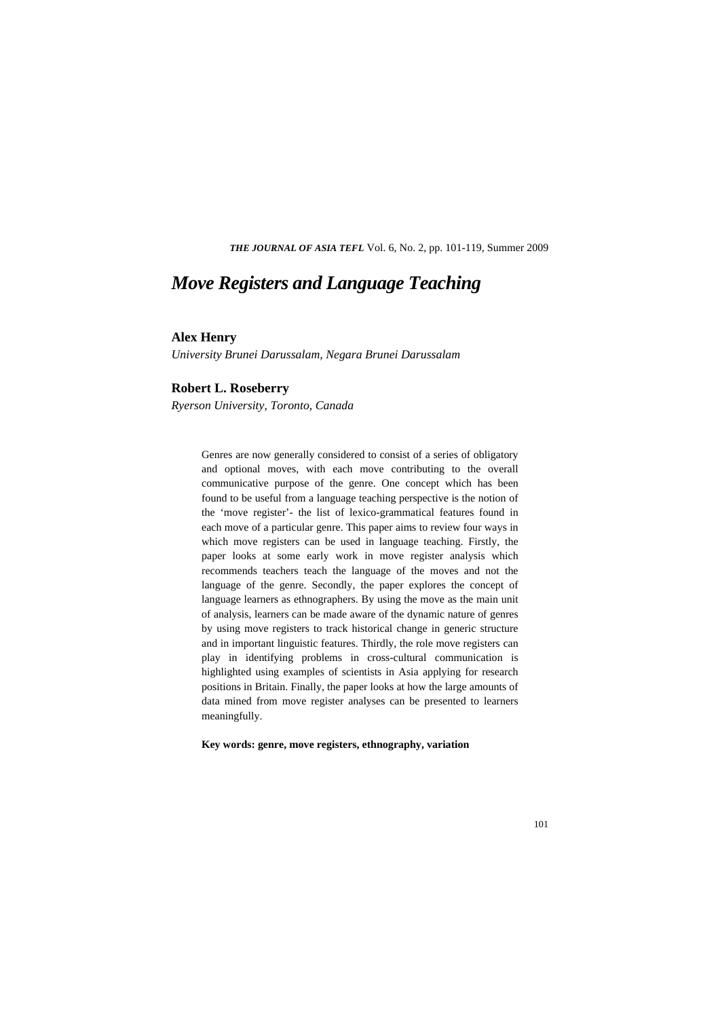*THE JOURNAL OF ASIA TEFL* Vol. 6, No. 2, pp. 101-119, Summer 2009

# *Move Registers and Language Teaching*

### **Alex Henry**

*University Brunei Darussalam, Negara Brunei Darussalam* 

#### **Robert L. Roseberry**

*Ryerson University, Toronto, Canada* 

Genres are now generally considered to consist of a series of obligatory and optional moves, with each move contributing to the overall communicative purpose of the genre. One concept which has been found to be useful from a language teaching perspective is the notion of the 'move register'- the list of lexico-grammatical features found in each move of a particular genre. This paper aims to review four ways in which move registers can be used in language teaching. Firstly, the paper looks at some early work in move register analysis which recommends teachers teach the language of the moves and not the language of the genre. Secondly, the paper explores the concept of language learners as ethnographers. By using the move as the main unit of analysis, learners can be made aware of the dynamic nature of genres by using move registers to track historical change in generic structure and in important linguistic features. Thirdly, the role move registers can play in identifying problems in cross-cultural communication is highlighted using examples of scientists in Asia applying for research positions in Britain. Finally, the paper looks at how the large amounts of data mined from move register analyses can be presented to learners meaningfully.

**Key words: genre, move registers, ethnography, variation**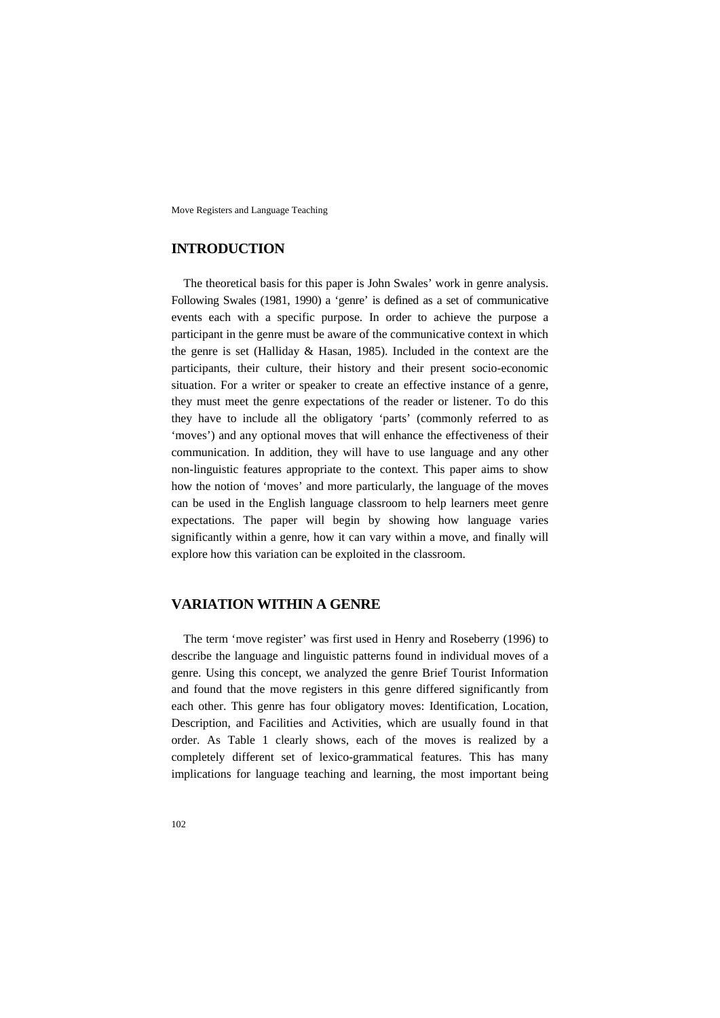### **INTRODUCTION**

The theoretical basis for this paper is John Swales' work in genre analysis. Following Swales (1981, 1990) a 'genre' is defined as a set of communicative events each with a specific purpose. In order to achieve the purpose a participant in the genre must be aware of the communicative context in which the genre is set (Halliday & Hasan, 1985). Included in the context are the participants, their culture, their history and their present socio-economic situation. For a writer or speaker to create an effective instance of a genre, they must meet the genre expectations of the reader or listener. To do this they have to include all the obligatory 'parts' (commonly referred to as 'moves') and any optional moves that will enhance the effectiveness of their communication. In addition, they will have to use language and any other non-linguistic features appropriate to the context. This paper aims to show how the notion of 'moves' and more particularly, the language of the moves can be used in the English language classroom to help learners meet genre expectations. The paper will begin by showing how language varies significantly within a genre, how it can vary within a move, and finally will explore how this variation can be exploited in the classroom.

### **VARIATION WITHIN A GENRE**

The term 'move register' was first used in Henry and Roseberry (1996) to describe the language and linguistic patterns found in individual moves of a genre. Using this concept, we analyzed the genre Brief Tourist Information and found that the move registers in this genre differed significantly from each other. This genre has four obligatory moves: Identification, Location, Description, and Facilities and Activities, which are usually found in that order. As Table 1 clearly shows, each of the moves is realized by a completely different set of lexico-grammatical features. This has many implications for language teaching and learning, the most important being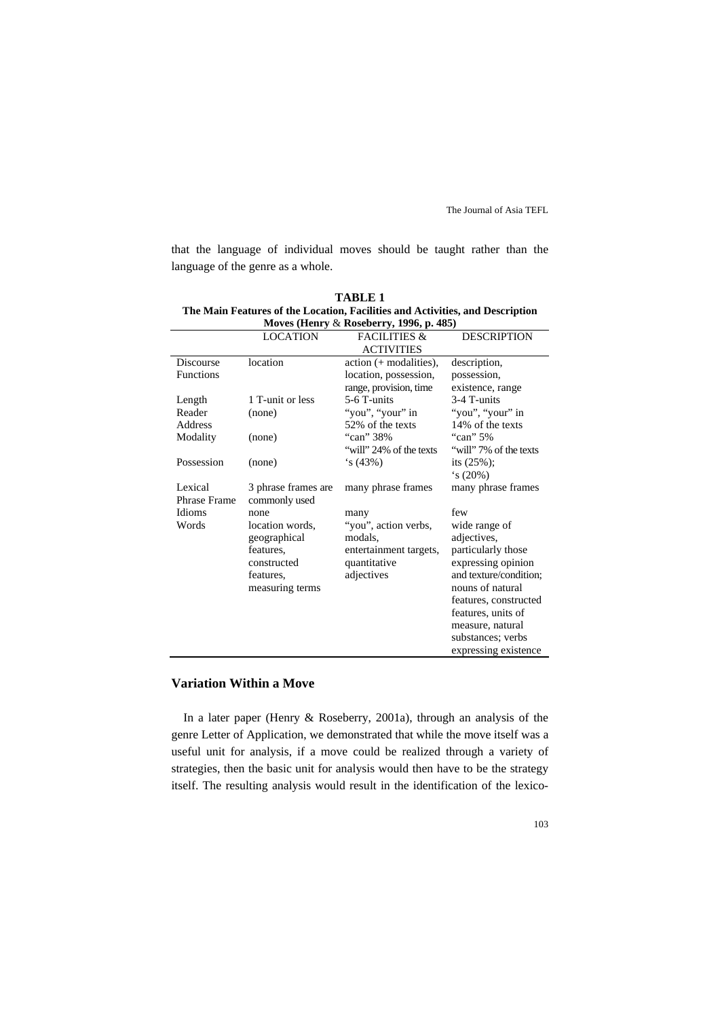that the language of individual moves should be taught rather than the language of the genre as a whole.

| <b>TABLE 1</b>                                                                |
|-------------------------------------------------------------------------------|
| The Main Features of the Location, Facilities and Activities, and Description |
| Moves (Henry $\&$ Roseberry, 1996, p. 485)                                    |

|                     | <b>LOCATION</b>     | <b>FACILITIES &amp;</b>  | <b>DESCRIPTION</b>     |  |
|---------------------|---------------------|--------------------------|------------------------|--|
|                     |                     | <b>ACTIVITIES</b>        |                        |  |
| <b>Discourse</b>    | location            | $action (+ modalities),$ | description,           |  |
| <b>Functions</b>    |                     | location, possession,    | possession,            |  |
|                     |                     | range, provision, time   | existence, range       |  |
| Length              | 1 T-unit or less    | 5-6 T-units              | 3-4 T-units            |  |
| Reader              | (none)              | "you", "your" in         | "you", "your" in       |  |
| Address             |                     | 52% of the texts         | 14% of the texts       |  |
| Modality            | (none)              | "can" 38%                | "can" 5%               |  |
|                     |                     | "will" 24% of the texts  | "will" 7% of the texts |  |
| Possession          | (none)              | $\sin(43\%)$             | its $(25\%)$ ;         |  |
|                     |                     |                          | $\sin(20\%)$           |  |
| Lexical             | 3 phrase frames are | many phrase frames       | many phrase frames     |  |
| <b>Phrase Frame</b> | commonly used       |                          |                        |  |
| Idioms              | none                | many                     | few                    |  |
| Words               | location words.     | "you", action verbs,     | wide range of          |  |
|                     | geographical        | modals.                  | adjectives,            |  |
|                     | features.           | entertainment targets,   | particularly those     |  |
|                     | constructed         | quantitative             | expressing opinion     |  |
|                     | features,           | adjectives               | and texture/condition; |  |
|                     | measuring terms     |                          | nouns of natural       |  |
|                     |                     |                          | features, constructed  |  |
|                     |                     |                          | features, units of     |  |
|                     |                     |                          | measure, natural       |  |
|                     |                     |                          | substances; verbs      |  |
|                     |                     |                          | expressing existence   |  |

### **Variation Within a Move**

In a later paper (Henry & Roseberry, 2001a), through an analysis of the genre Letter of Application, we demonstrated that while the move itself was a useful unit for analysis, if a move could be realized through a variety of strategies, then the basic unit for analysis would then have to be the strategy itself. The resulting analysis would result in the identification of the lexico-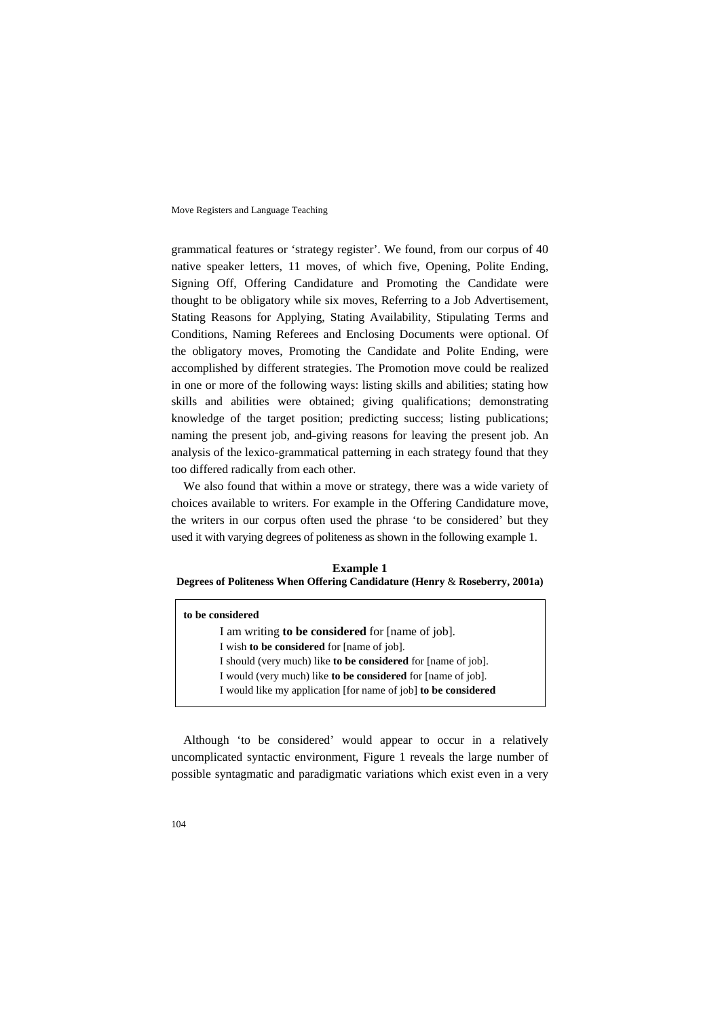grammatical features or 'strategy register'. We found, from our corpus of 40 native speaker letters, 11 moves, of which five, Opening, Polite Ending, Signing Off, Offering Candidature and Promoting the Candidate were thought to be obligatory while six moves, Referring to a Job Advertisement, Stating Reasons for Applying, Stating Availability, Stipulating Terms and Conditions, Naming Referees and Enclosing Documents were optional. Of the obligatory moves, Promoting the Candidate and Polite Ending, were accomplished by different strategies. The Promotion move could be realized in one or more of the following ways: listing skills and abilities; stating how skills and abilities were obtained; giving qualifications; demonstrating knowledge of the target position; predicting success; listing publications; naming the present job, and-giving reasons for leaving the present job. An analysis of the lexico-grammatical patterning in each strategy found that they too differed radically from each other.

We also found that within a move or strategy, there was a wide variety of choices available to writers. For example in the Offering Candidature move, the writers in our corpus often used the phrase 'to be considered' but they used it with varying degrees of politeness as shown in the following example 1.

**Example 1 Degrees of Politeness When Offering Candidature (Henry** & **Roseberry, 2001a)** 

| to be considered                                                     |  |  |  |
|----------------------------------------------------------------------|--|--|--|
| I am writing <b>to be considered</b> for [name of job].              |  |  |  |
| I wish to be considered for [name of job].                           |  |  |  |
| I should (very much) like <b>to be considered</b> for [name of job]. |  |  |  |
| I would (very much) like <b>to be considered</b> for [name of job].  |  |  |  |
| I would like my application [for name of job] to be considered       |  |  |  |

Although 'to be considered' would appear to occur in a relatively uncomplicated syntactic environment, Figure 1 reveals the large number of possible syntagmatic and paradigmatic variations which exist even in a very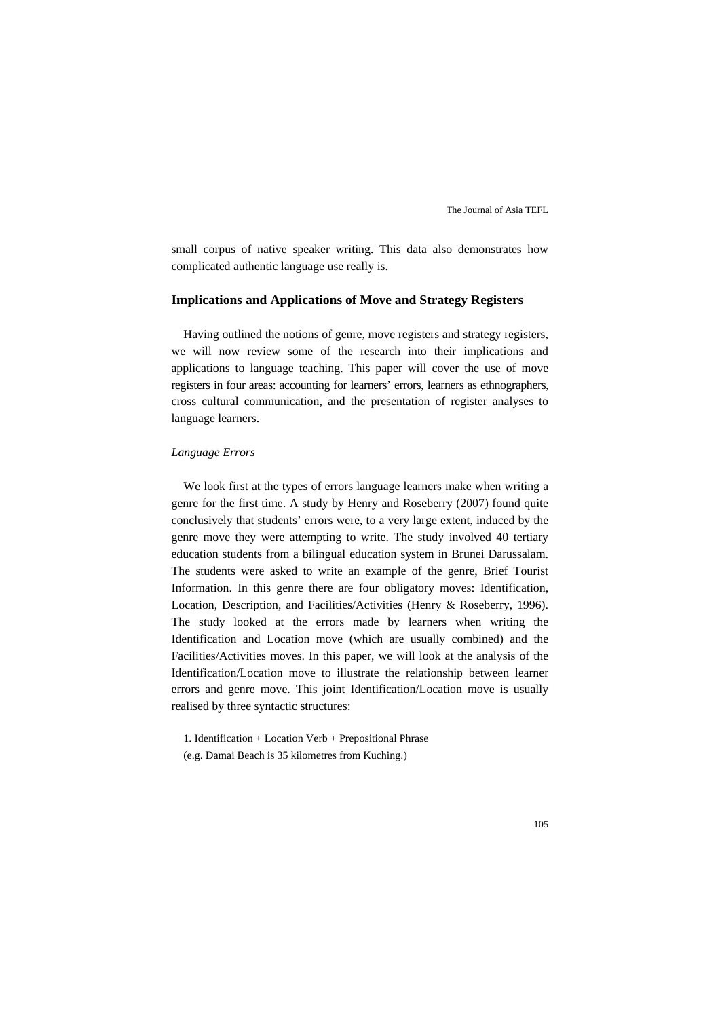small corpus of native speaker writing. This data also demonstrates how complicated authentic language use really is.

#### **Implications and Applications of Move and Strategy Registers**

Having outlined the notions of genre, move registers and strategy registers, we will now review some of the research into their implications and applications to language teaching. This paper will cover the use of move registers in four areas: accounting for learners' errors, learners as ethnographers, cross cultural communication, and the presentation of register analyses to language learners.

#### *Language Errors*

We look first at the types of errors language learners make when writing a genre for the first time. A study by Henry and Roseberry (2007) found quite conclusively that students' errors were, to a very large extent, induced by the genre move they were attempting to write. The study involved 40 tertiary education students from a bilingual education system in Brunei Darussalam. The students were asked to write an example of the genre, Brief Tourist Information. In this genre there are four obligatory moves: Identification, Location, Description, and Facilities/Activities (Henry & Roseberry, 1996). The study looked at the errors made by learners when writing the Identification and Location move (which are usually combined) and the Facilities/Activities moves. In this paper, we will look at the analysis of the Identification/Location move to illustrate the relationship between learner errors and genre move. This joint Identification/Location move is usually realised by three syntactic structures:

1. Identification + Location Verb + Prepositional Phrase

(e.g. Damai Beach is 35 kilometres from Kuching.)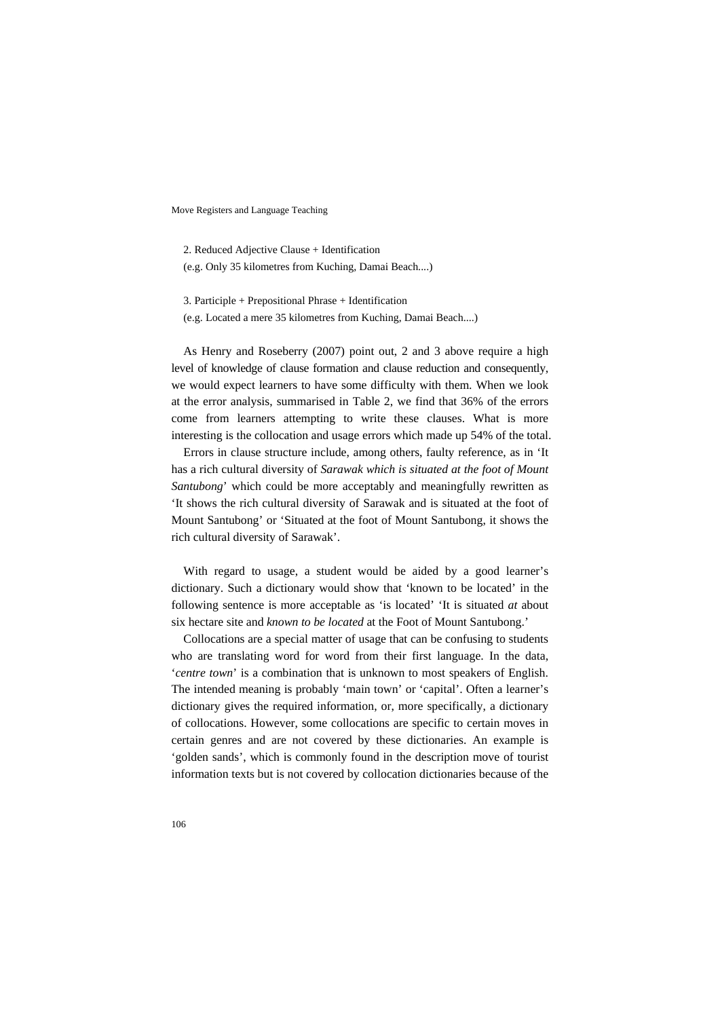2. Reduced Adjective Clause + Identification (e.g. Only 35 kilometres from Kuching, Damai Beach....)

3. Participle + Prepositional Phrase + Identification (e.g. Located a mere 35 kilometres from Kuching, Damai Beach....)

As Henry and Roseberry (2007) point out, 2 and 3 above require a high level of knowledge of clause formation and clause reduction and consequently, we would expect learners to have some difficulty with them. When we look at the error analysis, summarised in Table 2, we find that 36% of the errors come from learners attempting to write these clauses. What is more interesting is the collocation and usage errors which made up 54% of the total.

Errors in clause structure include, among others, faulty reference, as in 'It has a rich cultural diversity of *Sarawak which is situated at the foot of Mount Santubong*' which could be more acceptably and meaningfully rewritten as 'It shows the rich cultural diversity of Sarawak and is situated at the foot of Mount Santubong' or 'Situated at the foot of Mount Santubong, it shows the rich cultural diversity of Sarawak'.

With regard to usage, a student would be aided by a good learner's dictionary. Such a dictionary would show that 'known to be located' in the following sentence is more acceptable as 'is located' 'It is situated *at* about six hectare site and *known to be located* at the Foot of Mount Santubong.'

Collocations are a special matter of usage that can be confusing to students who are translating word for word from their first language. In the data, '*centre town*' is a combination that is unknown to most speakers of English. The intended meaning is probably 'main town' or 'capital'. Often a learner's dictionary gives the required information, or, more specifically, a dictionary of collocations. However, some collocations are specific to certain moves in certain genres and are not covered by these dictionaries. An example is 'golden sands', which is commonly found in the description move of tourist information texts but is not covered by collocation dictionaries because of the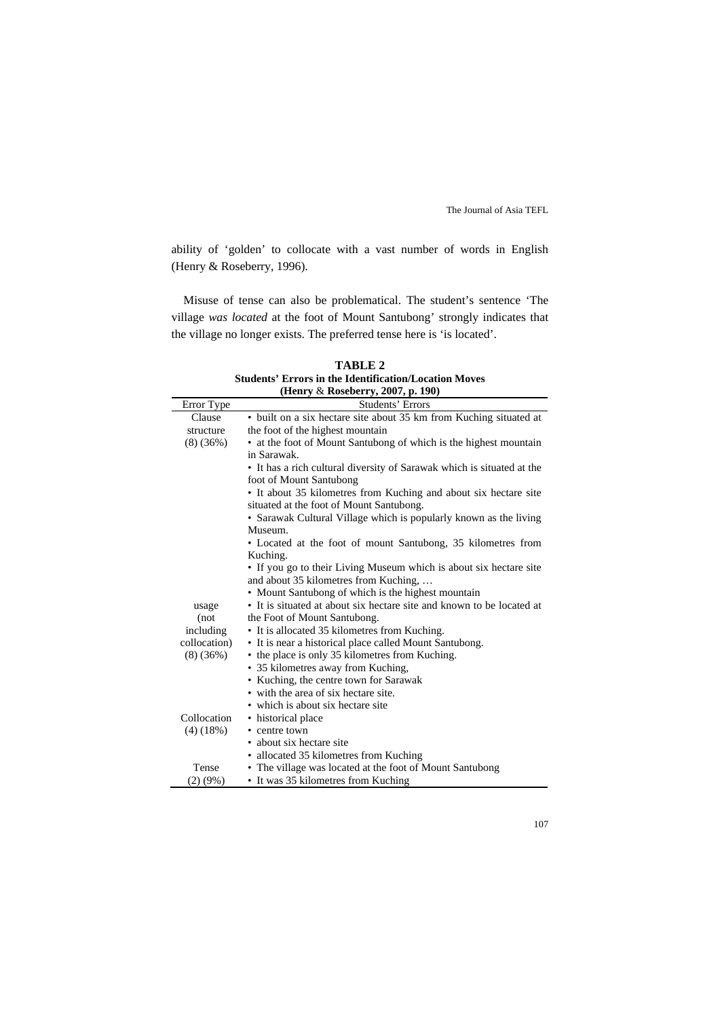ability of 'golden' to collocate with a vast number of words in English (Henry & Roseberry, 1996).

Misuse of tense can also be problematical. The student's sentence 'The village *was located* at the foot of Mount Santubong' strongly indicates that the village no longer exists. The preferred tense here is 'is located'.

| Students' Errors in the Identification/Location Moves |                                                                                                   |  |  |  |
|-------------------------------------------------------|---------------------------------------------------------------------------------------------------|--|--|--|
| (Henry & Roseberry, 2007, p. 190)                     |                                                                                                   |  |  |  |
| Error Type                                            | Students' Errors                                                                                  |  |  |  |
| Clause                                                | • built on a six hectare site about 35 km from Kuching situated at                                |  |  |  |
| structure                                             | the foot of the highest mountain                                                                  |  |  |  |
| (8)(36%)                                              | • at the foot of Mount Santubong of which is the highest mountain<br>in Sarawak.                  |  |  |  |
|                                                       |                                                                                                   |  |  |  |
|                                                       | • It has a rich cultural diversity of Sarawak which is situated at the<br>foot of Mount Santubong |  |  |  |
|                                                       | • It about 35 kilometres from Kuching and about six hectare site                                  |  |  |  |
|                                                       | situated at the foot of Mount Santubong.                                                          |  |  |  |
|                                                       | • Sarawak Cultural Village which is popularly known as the living<br>Museum.                      |  |  |  |
|                                                       | • Located at the foot of mount Santubong, 35 kilometres from                                      |  |  |  |
|                                                       | Kuching.                                                                                          |  |  |  |
|                                                       | • If you go to their Living Museum which is about six hectare site                                |  |  |  |
|                                                       | and about 35 kilometres from Kuching,                                                             |  |  |  |
|                                                       | • Mount Santubong of which is the highest mountain                                                |  |  |  |
| usage                                                 | • It is situated at about six hectare site and known to be located at                             |  |  |  |
| (not)                                                 | the Foot of Mount Santubong.                                                                      |  |  |  |
| including                                             | • It is allocated 35 kilometres from Kuching.                                                     |  |  |  |
| collocation)                                          | • It is near a historical place called Mount Santubong.                                           |  |  |  |
| (8)(36%)                                              | • the place is only 35 kilometres from Kuching.                                                   |  |  |  |
|                                                       | • 35 kilometres away from Kuching,                                                                |  |  |  |
|                                                       | • Kuching, the centre town for Sarawak                                                            |  |  |  |
|                                                       | • with the area of six hectare site.                                                              |  |  |  |
|                                                       | • which is about six hectare site                                                                 |  |  |  |
| Collocation                                           | • historical place                                                                                |  |  |  |
| $(4)$ (18%)                                           | • centre town                                                                                     |  |  |  |
|                                                       | • about six hectare site                                                                          |  |  |  |
|                                                       | • allocated 35 kilometres from Kuching                                                            |  |  |  |
| Tense                                                 | • The village was located at the foot of Mount Santubong                                          |  |  |  |
| $(2)(9\%)$                                            | • It was 35 kilometres from Kuching                                                               |  |  |  |

**TABLE 2 Students' Errors in the Identification/Location Moves**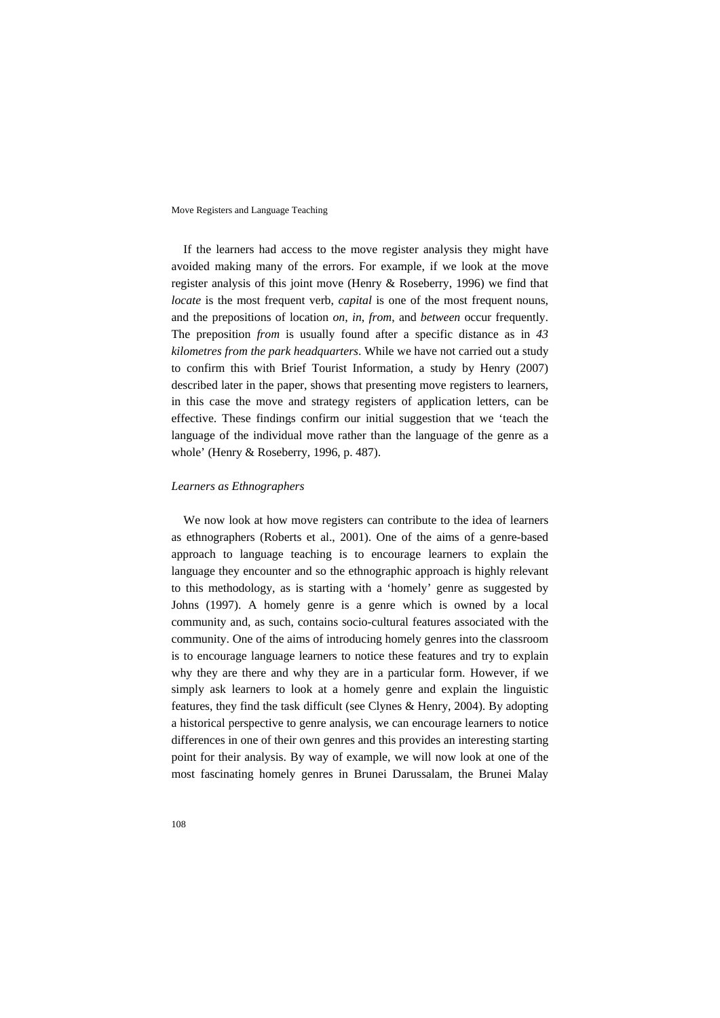If the learners had access to the move register analysis they might have avoided making many of the errors. For example, if we look at the move register analysis of this joint move (Henry & Roseberry, 1996) we find that *locate* is the most frequent verb, *capital* is one of the most frequent nouns, and the prepositions of location *on*, *in*, *from*, and *between* occur frequently. The preposition *from* is usually found after a specific distance as in *43 kilometres from the park headquarters*. While we have not carried out a study to confirm this with Brief Tourist Information, a study by Henry (2007) described later in the paper, shows that presenting move registers to learners, in this case the move and strategy registers of application letters, can be effective. These findings confirm our initial suggestion that we 'teach the language of the individual move rather than the language of the genre as a whole' (Henry & Roseberry, 1996, p. 487).

#### *Learners as Ethnographers*

We now look at how move registers can contribute to the idea of learners as ethnographers (Roberts et al., 2001). One of the aims of a genre-based approach to language teaching is to encourage learners to explain the language they encounter and so the ethnographic approach is highly relevant to this methodology, as is starting with a 'homely' genre as suggested by Johns (1997). A homely genre is a genre which is owned by a local community and, as such, contains socio-cultural features associated with the community. One of the aims of introducing homely genres into the classroom is to encourage language learners to notice these features and try to explain why they are there and why they are in a particular form. However, if we simply ask learners to look at a homely genre and explain the linguistic features, they find the task difficult (see Clynes & Henry, 2004). By adopting a historical perspective to genre analysis, we can encourage learners to notice differences in one of their own genres and this provides an interesting starting point for their analysis. By way of example, we will now look at one of the most fascinating homely genres in Brunei Darussalam, the Brunei Malay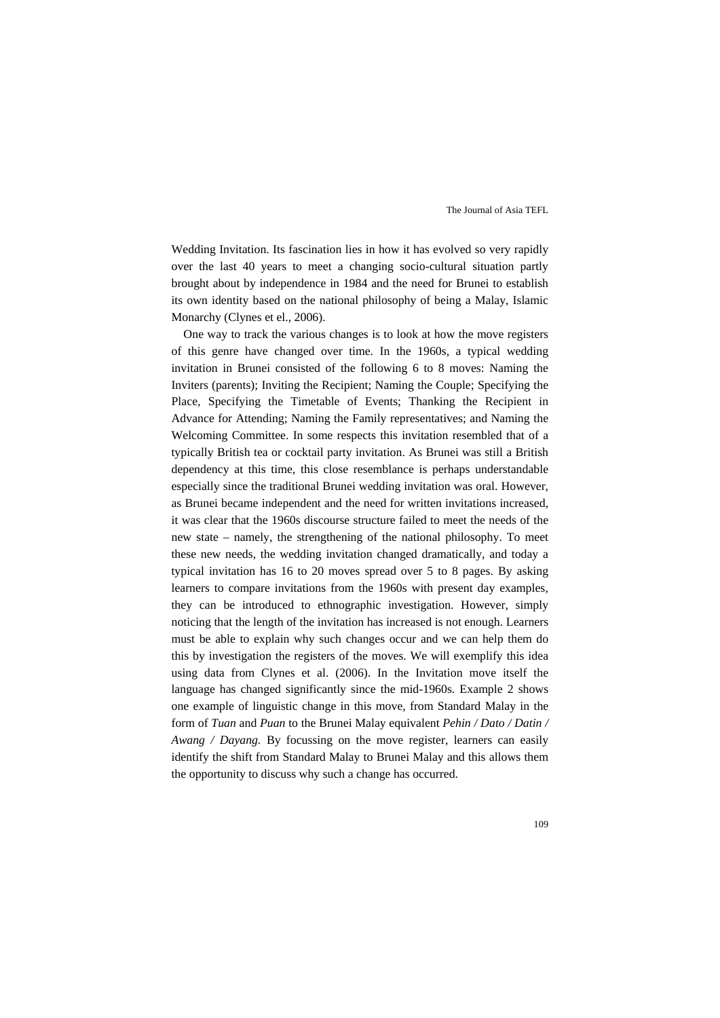Wedding Invitation. Its fascination lies in how it has evolved so very rapidly over the last 40 years to meet a changing socio-cultural situation partly brought about by independence in 1984 and the need for Brunei to establish its own identity based on the national philosophy of being a Malay, Islamic Monarchy (Clynes et el., 2006).

One way to track the various changes is to look at how the move registers of this genre have changed over time. In the 1960s, a typical wedding invitation in Brunei consisted of the following 6 to 8 moves: Naming the Inviters (parents); Inviting the Recipient; Naming the Couple; Specifying the Place, Specifying the Timetable of Events; Thanking the Recipient in Advance for Attending; Naming the Family representatives; and Naming the Welcoming Committee. In some respects this invitation resembled that of a typically British tea or cocktail party invitation. As Brunei was still a British dependency at this time, this close resemblance is perhaps understandable especially since the traditional Brunei wedding invitation was oral. However, as Brunei became independent and the need for written invitations increased, it was clear that the 1960s discourse structure failed to meet the needs of the new state – namely, the strengthening of the national philosophy. To meet these new needs, the wedding invitation changed dramatically, and today a typical invitation has 16 to 20 moves spread over 5 to 8 pages. By asking learners to compare invitations from the 1960s with present day examples, they can be introduced to ethnographic investigation. However, simply noticing that the length of the invitation has increased is not enough. Learners must be able to explain why such changes occur and we can help them do this by investigation the registers of the moves. We will exemplify this idea using data from Clynes et al. (2006). In the Invitation move itself the language has changed significantly since the mid-1960s. Example 2 shows one example of linguistic change in this move, from Standard Malay in the form of *Tuan* and *Puan* to the Brunei Malay equivalent *Pehin / Dato / Datin / Awang / Dayang.* By focussing on the move register, learners can easily identify the shift from Standard Malay to Brunei Malay and this allows them the opportunity to discuss why such a change has occurred.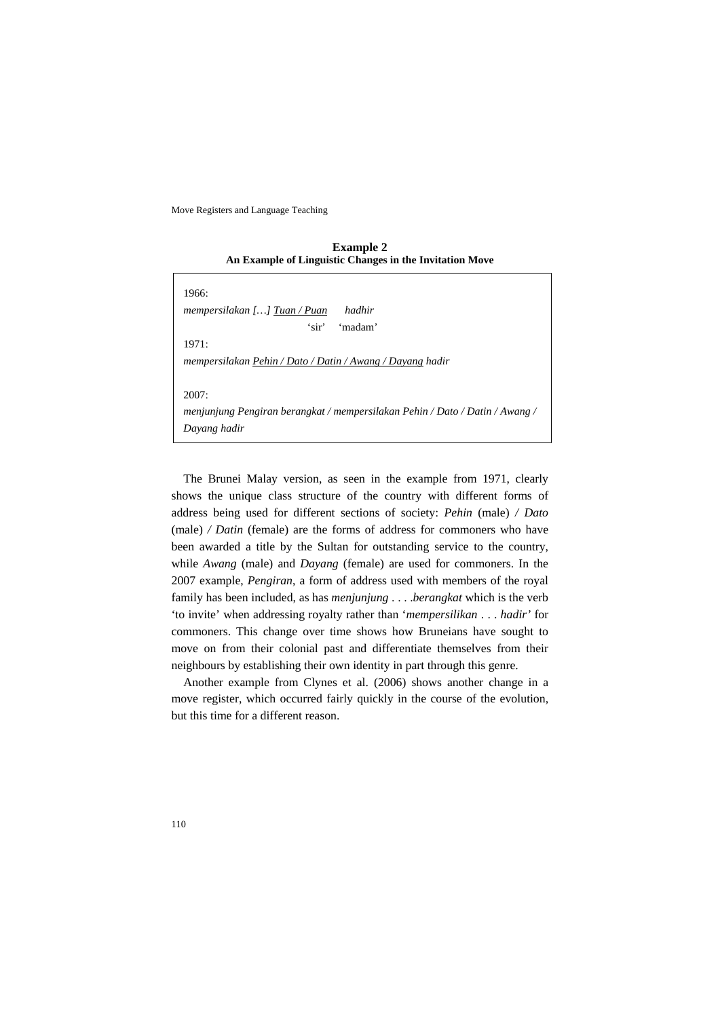**Example 2 An Example of Linguistic Changes in the Invitation Move** 

| 1966:                                                                        |  |  |  |
|------------------------------------------------------------------------------|--|--|--|
| hadhir<br>mempersilakan [] Tuan / Puan                                       |  |  |  |
| 'sir'<br>'madam'                                                             |  |  |  |
| 1971:                                                                        |  |  |  |
| mempersilakan Pehin / Dato / Datin / Awang / Dayang hadir                    |  |  |  |
|                                                                              |  |  |  |
| 2007:                                                                        |  |  |  |
| menjunjung Pengiran berangkat / mempersilakan Pehin / Dato / Datin / Awang / |  |  |  |
| Dayang hadir                                                                 |  |  |  |

The Brunei Malay version, as seen in the example from 1971, clearly shows the unique class structure of the country with different forms of address being used for different sections of society: *Pehin* (male) */ Dato*  (male) */ Datin* (female) are the forms of address for commoners who have been awarded a title by the Sultan for outstanding service to the country, while *Awang* (male) and *Dayang* (female) are used for commoners. In the 2007 example, *Pengiran*, a form of address used with members of the royal family has been included, as has *menjunjung* . . . .*berangkat* which is the verb 'to invite' when addressing royalty rather than '*mempersilikan* . . . *hadir'* for commoners. This change over time shows how Bruneians have sought to move on from their colonial past and differentiate themselves from their neighbours by establishing their own identity in part through this genre.

Another example from Clynes et al. (2006) shows another change in a move register, which occurred fairly quickly in the course of the evolution, but this time for a different reason.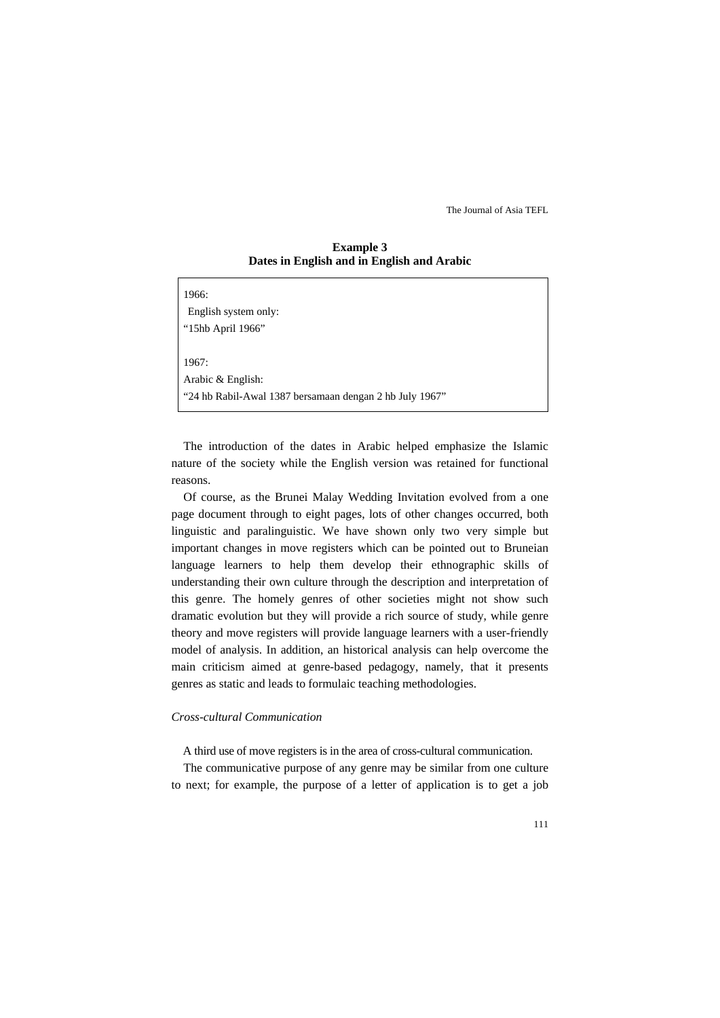#### **Example 3 Dates in English and in English and Arabic**

| 1966:                                                   |  |
|---------------------------------------------------------|--|
| English system only:                                    |  |
| "15hb April 1966"                                       |  |
|                                                         |  |
| 1967:                                                   |  |
| Arabic & English:                                       |  |
| "24 hb Rabil-Awal 1387 bersamaan dengan 2 hb July 1967" |  |
|                                                         |  |

The introduction of the dates in Arabic helped emphasize the Islamic nature of the society while the English version was retained for functional reasons.

Of course, as the Brunei Malay Wedding Invitation evolved from a one page document through to eight pages, lots of other changes occurred, both linguistic and paralinguistic. We have shown only two very simple but important changes in move registers which can be pointed out to Bruneian language learners to help them develop their ethnographic skills of understanding their own culture through the description and interpretation of this genre. The homely genres of other societies might not show such dramatic evolution but they will provide a rich source of study, while genre theory and move registers will provide language learners with a user-friendly model of analysis. In addition, an historical analysis can help overcome the main criticism aimed at genre-based pedagogy, namely, that it presents genres as static and leads to formulaic teaching methodologies.

#### *Cross-cultural Communication*

A third use of move registers is in the area of cross-cultural communication.

The communicative purpose of any genre may be similar from one culture to next; for example, the purpose of a letter of application is to get a job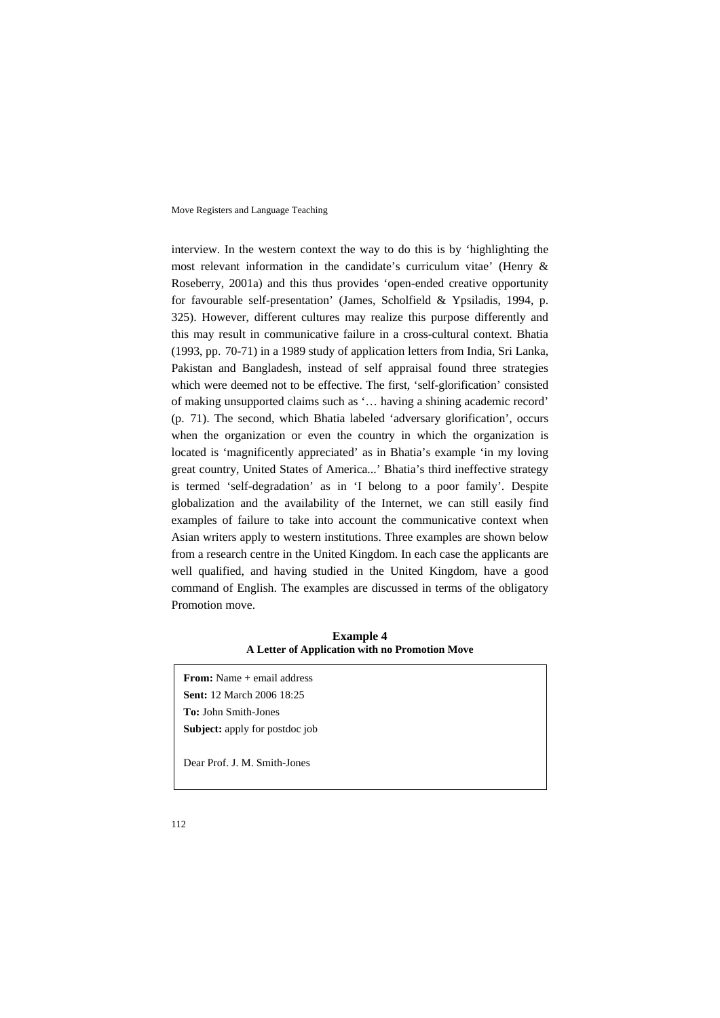interview. In the western context the way to do this is by 'highlighting the most relevant information in the candidate's curriculum vitae' (Henry & Roseberry, 2001a) and this thus provides 'open-ended creative opportunity for favourable self-presentation' (James, Scholfield & Ypsiladis, 1994, p. 325). However, different cultures may realize this purpose differently and this may result in communicative failure in a cross-cultural context. Bhatia (1993, pp. 70-71) in a 1989 study of application letters from India, Sri Lanka, Pakistan and Bangladesh, instead of self appraisal found three strategies which were deemed not to be effective. The first, 'self-glorification' consisted of making unsupported claims such as '… having a shining academic record' (p. 71). The second, which Bhatia labeled 'adversary glorification', occurs when the organization or even the country in which the organization is located is 'magnificently appreciated' as in Bhatia's example 'in my loving great country, United States of America...' Bhatia's third ineffective strategy is termed 'self-degradation' as in 'I belong to a poor family'. Despite globalization and the availability of the Internet, we can still easily find examples of failure to take into account the communicative context when Asian writers apply to western institutions. Three examples are shown below from a research centre in the United Kingdom. In each case the applicants are well qualified, and having studied in the United Kingdom, have a good command of English. The examples are discussed in terms of the obligatory Promotion move.

**Example 4 A Letter of Application with no Promotion Move** 

**From:** Name + email address **Sent:** 12 March 2006 18:25 **To:** John Smith-Jones **Subject:** apply for postdoc job

Dear Prof. J. M. Smith-Jones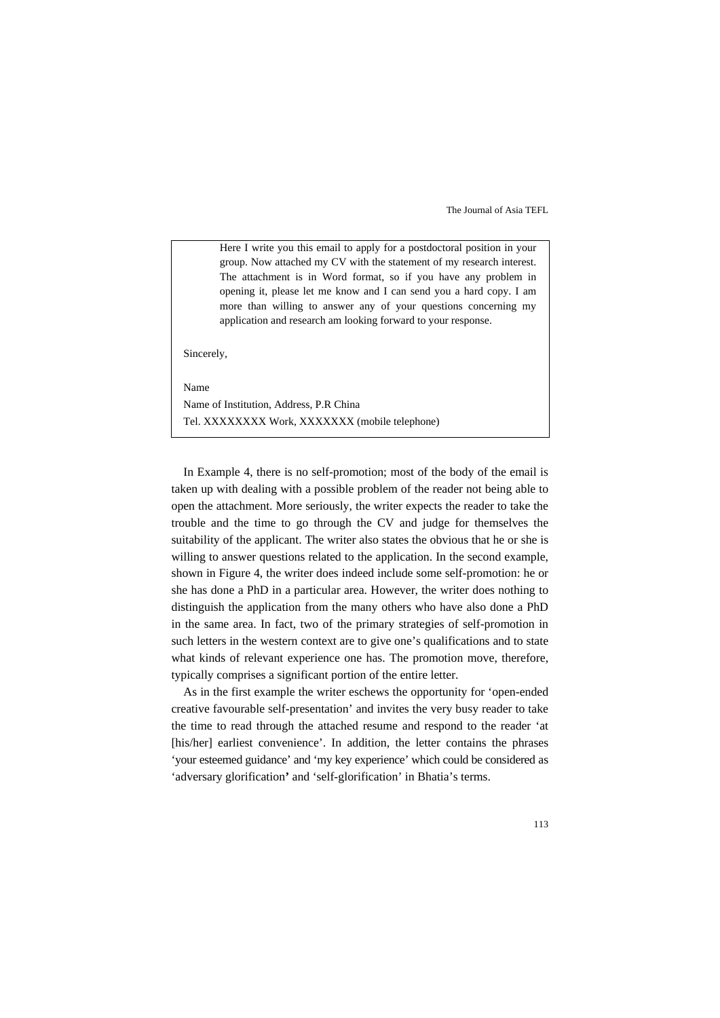Here I write you this email to apply for a postdoctoral position in your group. Now attached my CV with the statement of my research interest. The attachment is in Word format, so if you have any problem in opening it, please let me know and I can send you a hard copy. I am more than willing to answer any of your questions concerning my application and research am looking forward to your response.

Sincerely,

Name

Name of Institution, Address, P.R China Tel. XXXXXXXX Work, XXXXXXX (mobile telephone)

In Example 4, there is no self-promotion; most of the body of the email is taken up with dealing with a possible problem of the reader not being able to open the attachment. More seriously, the writer expects the reader to take the trouble and the time to go through the CV and judge for themselves the suitability of the applicant. The writer also states the obvious that he or she is willing to answer questions related to the application. In the second example, shown in Figure 4, the writer does indeed include some self-promotion: he or she has done a PhD in a particular area. However, the writer does nothing to distinguish the application from the many others who have also done a PhD in the same area. In fact, two of the primary strategies of self-promotion in such letters in the western context are to give one's qualifications and to state what kinds of relevant experience one has. The promotion move, therefore, typically comprises a significant portion of the entire letter.

As in the first example the writer eschews the opportunity for 'open-ended creative favourable self-presentation' and invites the very busy reader to take the time to read through the attached resume and respond to the reader 'at [his/her] earliest convenience'. In addition, the letter contains the phrases 'your esteemed guidance' and 'my key experience' which could be considered as 'adversary glorification**'** and 'self-glorification' in Bhatia's terms.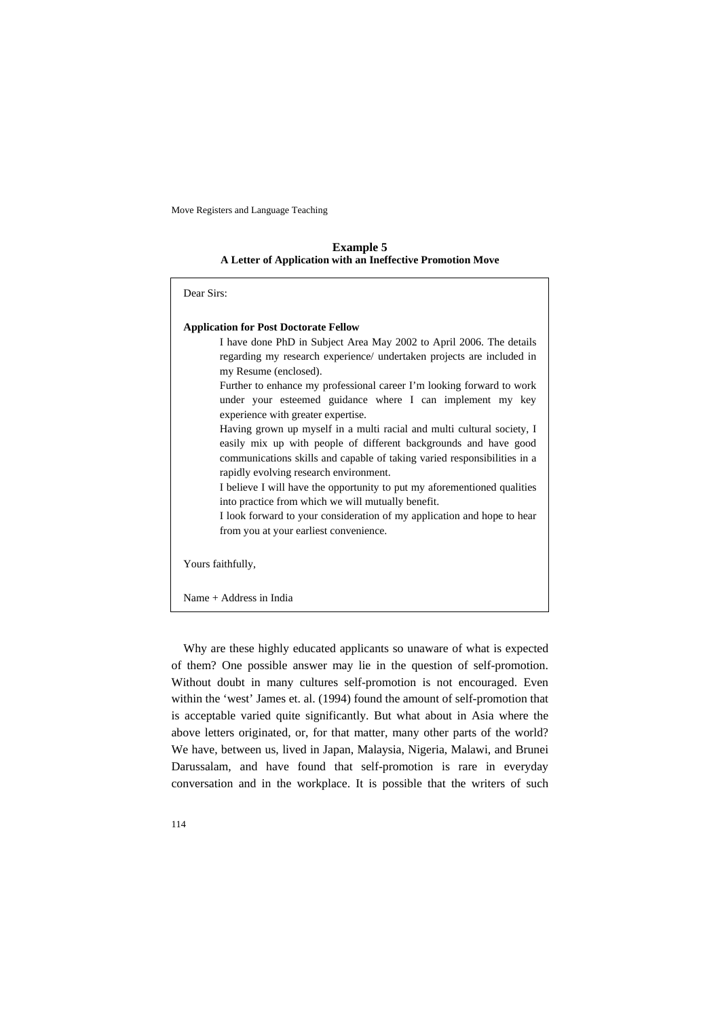**Example 5 A Letter of Application with an Ineffective Promotion Move** 

| Dear Sirs:                                                                                                                                                                                                                                                                                                                                                                                                                                                                                                                                      |
|-------------------------------------------------------------------------------------------------------------------------------------------------------------------------------------------------------------------------------------------------------------------------------------------------------------------------------------------------------------------------------------------------------------------------------------------------------------------------------------------------------------------------------------------------|
| <b>Application for Post Doctorate Fellow</b><br>I have done PhD in Subject Area May 2002 to April 2006. The details<br>regarding my research experience/ undertaken projects are included in<br>my Resume (enclosed).<br>Further to enhance my professional career I'm looking forward to work<br>under your esteemed guidance where I can implement my key<br>experience with greater expertise.<br>Having grown up myself in a multi racial and multi cultural society, I<br>easily mix up with people of different backgrounds and have good |
| communications skills and capable of taking varied responsibilities in a<br>rapidly evolving research environment.<br>I believe I will have the opportunity to put my aforementioned qualities<br>into practice from which we will mutually benefit.<br>I look forward to your consideration of my application and hope to hear<br>from you at your earliest convenience.                                                                                                                                                                       |
| Yours faithfully,                                                                                                                                                                                                                                                                                                                                                                                                                                                                                                                               |
| Name $+$ Address in India                                                                                                                                                                                                                                                                                                                                                                                                                                                                                                                       |

Why are these highly educated applicants so unaware of what is expected of them? One possible answer may lie in the question of self-promotion. Without doubt in many cultures self-promotion is not encouraged. Even within the 'west' James et. al. (1994) found the amount of self-promotion that is acceptable varied quite significantly. But what about in Asia where the above letters originated, or, for that matter, many other parts of the world? We have, between us, lived in Japan, Malaysia, Nigeria, Malawi, and Brunei Darussalam, and have found that self-promotion is rare in everyday conversation and in the workplace. It is possible that the writers of such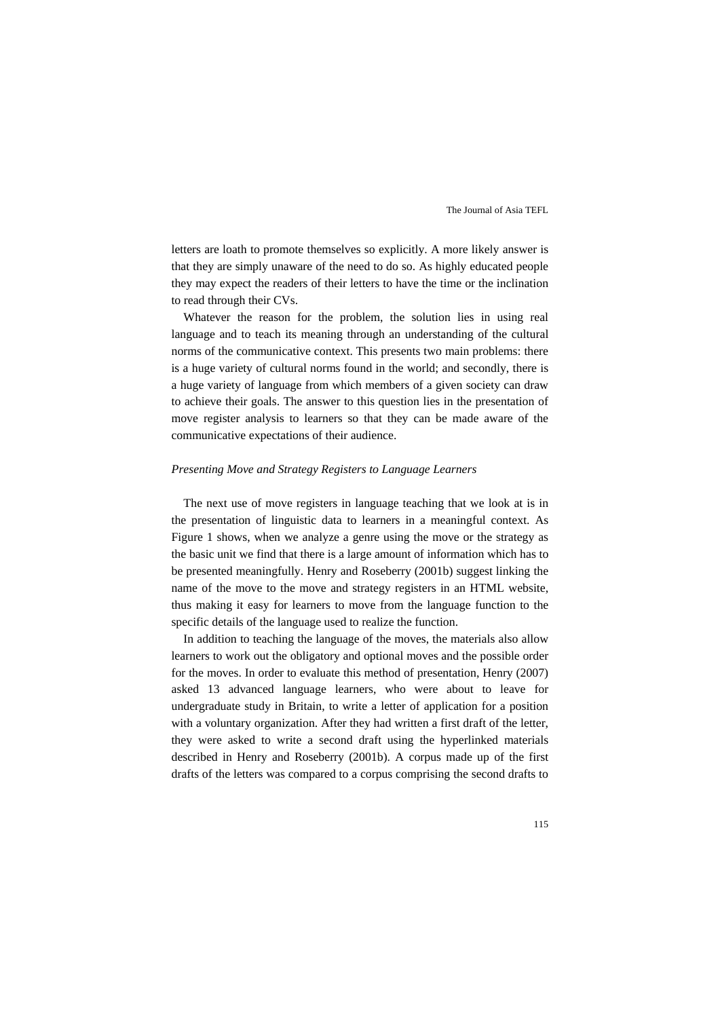letters are loath to promote themselves so explicitly. A more likely answer is that they are simply unaware of the need to do so. As highly educated people they may expect the readers of their letters to have the time or the inclination to read through their CVs.

Whatever the reason for the problem, the solution lies in using real language and to teach its meaning through an understanding of the cultural norms of the communicative context. This presents two main problems: there is a huge variety of cultural norms found in the world; and secondly, there is a huge variety of language from which members of a given society can draw to achieve their goals. The answer to this question lies in the presentation of move register analysis to learners so that they can be made aware of the communicative expectations of their audience.

#### *Presenting Move and Strategy Registers to Language Learners*

The next use of move registers in language teaching that we look at is in the presentation of linguistic data to learners in a meaningful context. As Figure 1 shows, when we analyze a genre using the move or the strategy as the basic unit we find that there is a large amount of information which has to be presented meaningfully. Henry and Roseberry (2001b) suggest linking the name of the move to the move and strategy registers in an HTML website, thus making it easy for learners to move from the language function to the specific details of the language used to realize the function.

In addition to teaching the language of the moves, the materials also allow learners to work out the obligatory and optional moves and the possible order for the moves. In order to evaluate this method of presentation, Henry (2007) asked 13 advanced language learners, who were about to leave for undergraduate study in Britain, to write a letter of application for a position with a voluntary organization. After they had written a first draft of the letter, they were asked to write a second draft using the hyperlinked materials described in Henry and Roseberry (2001b). A corpus made up of the first drafts of the letters was compared to a corpus comprising the second drafts to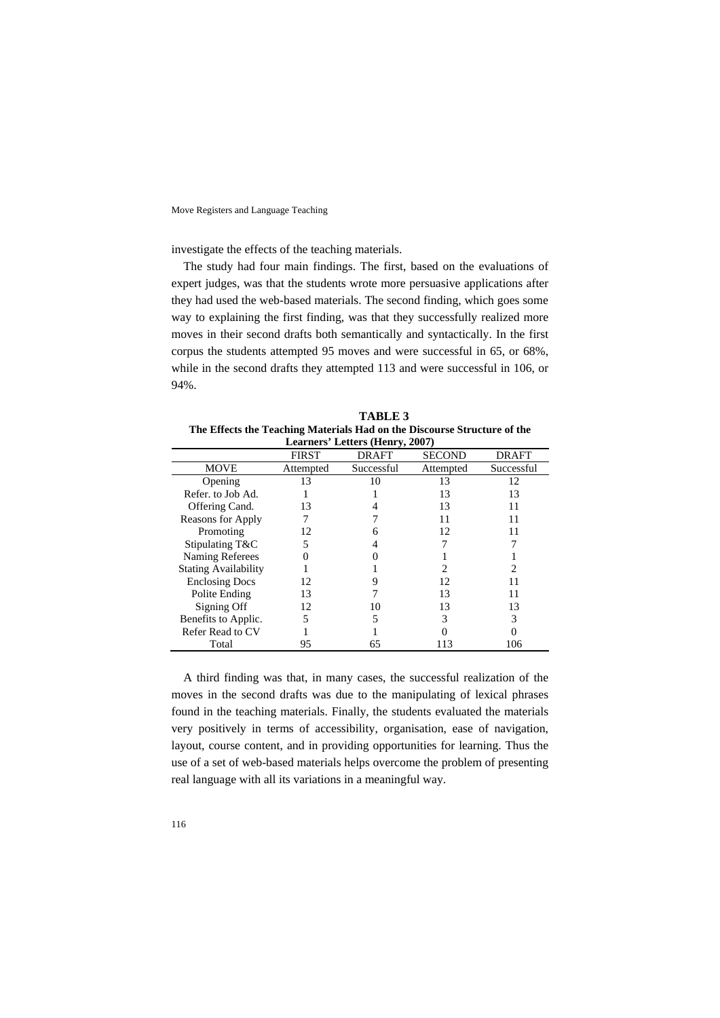investigate the effects of the teaching materials.

The study had four main findings. The first, based on the evaluations of expert judges, was that the students wrote more persuasive applications after they had used the web-based materials. The second finding, which goes some way to explaining the first finding, was that they successfully realized more moves in their second drafts both semantically and syntactically. In the first corpus the students attempted 95 moves and were successful in 65, or 68%, while in the second drafts they attempted 113 and were successful in 106, or 94%.

**TABLE 3 The Effects the Teaching Materials Had on the Discourse Structure of the** 

| Learners' Letters (Henry, 2007) |              |              |               |              |
|---------------------------------|--------------|--------------|---------------|--------------|
|                                 | <b>FIRST</b> | <b>DRAFT</b> | <b>SECOND</b> | <b>DRAFT</b> |
| <b>MOVE</b>                     | Attempted    | Successful   | Attempted     | Successful   |
| Opening                         | 13           | 10           | 13            | 12           |
| Refer. to Job Ad.               |              |              | 13            | 13           |
| Offering Cand.                  | 13           |              | 13            | 11           |
| Reasons for Apply               |              |              | 11            | 11           |
| Promoting                       | 12           |              | 12            | 11           |
| Stipulating T&C                 | 5            |              |               |              |
| Naming Referees                 |              |              |               |              |
| <b>Stating Availability</b>     |              |              |               | っ            |
| <b>Enclosing Docs</b>           | 12           |              | 12            |              |
| Polite Ending                   | 13           |              | 13            | 11           |
| Signing Off                     | 12           | 10           | 13            | 13           |
| Benefits to Applic.             | 5            |              | 3             | 3            |
| Refer Read to CV                |              |              |               |              |
| Total                           | 95           | 65           | 113           | 106          |

A third finding was that, in many cases, the successful realization of the moves in the second drafts was due to the manipulating of lexical phrases found in the teaching materials. Finally, the students evaluated the materials very positively in terms of accessibility, organisation, ease of navigation, layout, course content, and in providing opportunities for learning. Thus the use of a set of web-based materials helps overcome the problem of presenting real language with all its variations in a meaningful way.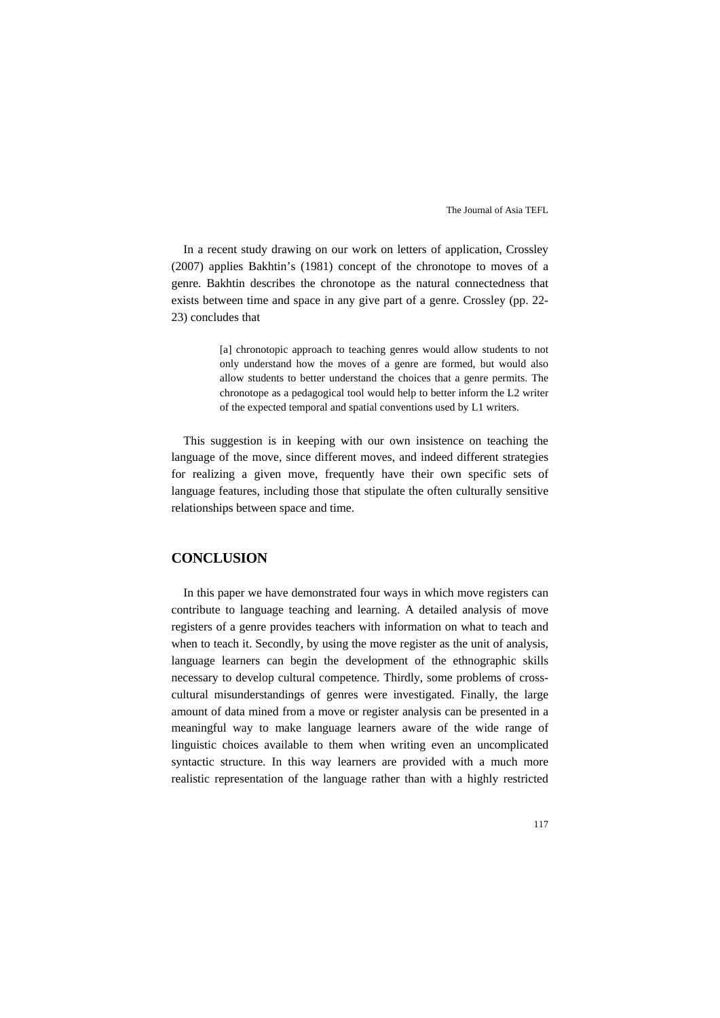In a recent study drawing on our work on letters of application, Crossley (2007) applies Bakhtin's (1981) concept of the chronotope to moves of a genre. Bakhtin describes the chronotope as the natural connectedness that exists between time and space in any give part of a genre. Crossley (pp. 22- 23) concludes that

> [a] chronotopic approach to teaching genres would allow students to not only understand how the moves of a genre are formed, but would also allow students to better understand the choices that a genre permits. The chronotope as a pedagogical tool would help to better inform the L2 writer of the expected temporal and spatial conventions used by L1 writers.

This suggestion is in keeping with our own insistence on teaching the language of the move, since different moves, and indeed different strategies for realizing a given move, frequently have their own specific sets of language features, including those that stipulate the often culturally sensitive relationships between space and time.

#### **CONCLUSION**

In this paper we have demonstrated four ways in which move registers can contribute to language teaching and learning. A detailed analysis of move registers of a genre provides teachers with information on what to teach and when to teach it. Secondly, by using the move register as the unit of analysis, language learners can begin the development of the ethnographic skills necessary to develop cultural competence. Thirdly, some problems of crosscultural misunderstandings of genres were investigated. Finally, the large amount of data mined from a move or register analysis can be presented in a meaningful way to make language learners aware of the wide range of linguistic choices available to them when writing even an uncomplicated syntactic structure. In this way learners are provided with a much more realistic representation of the language rather than with a highly restricted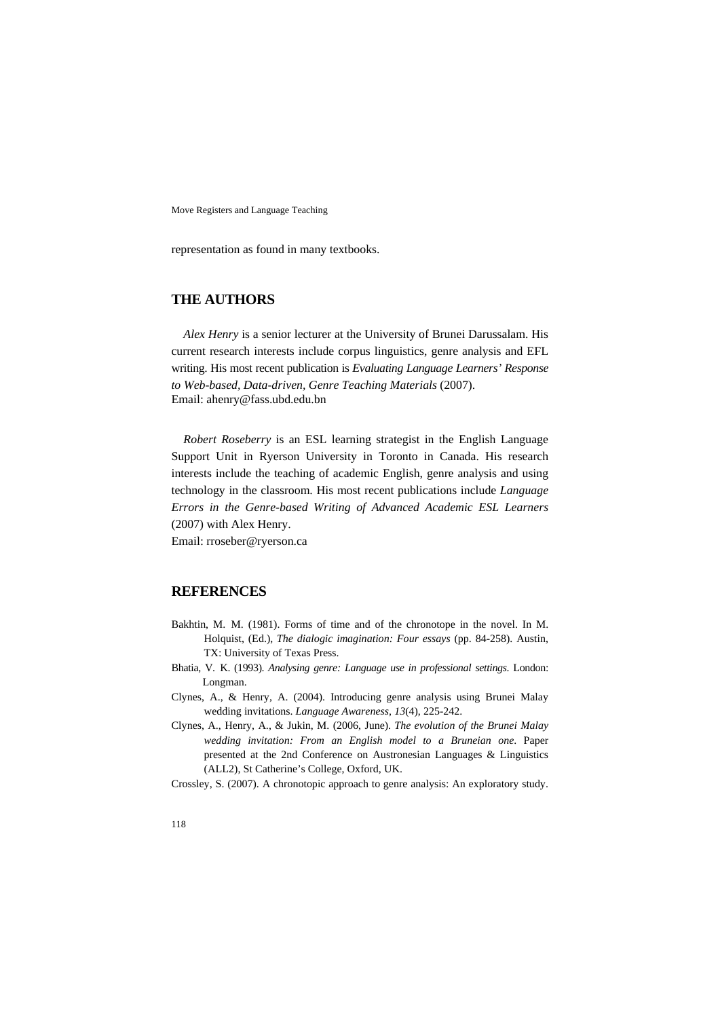representation as found in many textbooks.

## **THE AUTHORS**

*Alex Henry* is a senior lecturer at the University of Brunei Darussalam. His current research interests include corpus linguistics, genre analysis and EFL writing. His most recent publication is *Evaluating Language Learners' Response to Web-based, Data-driven, Genre Teaching Materials* (2007). Email: ahenry@fass.ubd.edu.bn

*Robert Roseberry* is an ESL learning strategist in the English Language Support Unit in Ryerson University in Toronto in Canada. His research interests include the teaching of academic English, genre analysis and using technology in the classroom. His most recent publications include *Language Errors in the Genre-based Writing of Advanced Academic ESL Learners* (2007) with Alex Henry.

Email: rroseber@ryerson.ca

### **REFERENCES**

- Bakhtin, M. M. (1981). Forms of time and of the chronotope in the novel. In M. Holquist, (Ed.), *The dialogic imagination: Four essays* (pp. 84-258). Austin, TX: University of Texas Press.
- Bhatia, V. K. (1993). *Analysing genre: Language use in professional settings*. London: Longman.
- Clynes, A., & Henry, A. (2004). Introducing genre analysis using Brunei Malay wedding invitations. *Language Awareness*, *13*(4), 225-242.
- Clynes, A., Henry, A., & Jukin, M. (2006, June). *The evolution of the Brunei Malay wedding invitation: From an English model to a Bruneian one*. Paper presented at the 2nd Conference on Austronesian Languages & Linguistics (ALL2), St Catherine's College, Oxford, UK.

Crossley, S. (2007). A chronotopic approach to genre analysis: An exploratory study.